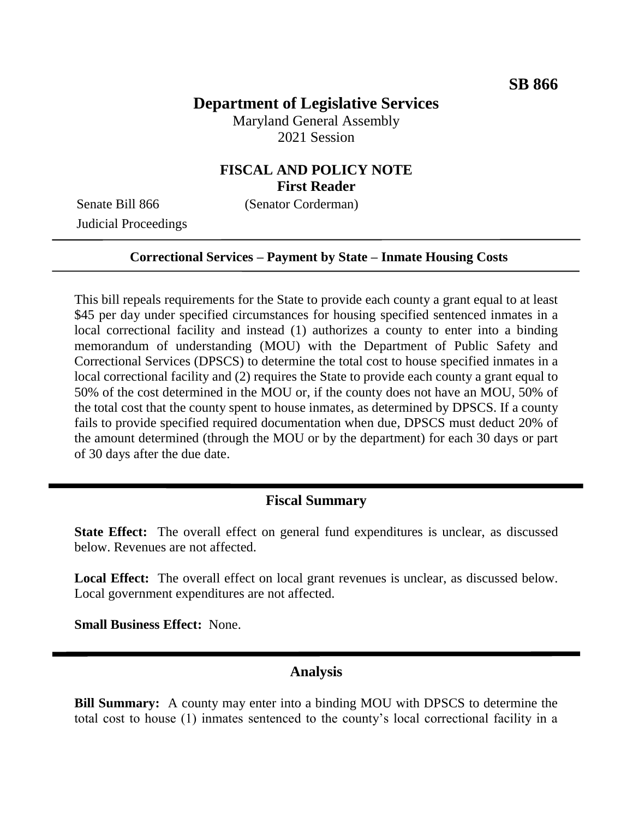## **Department of Legislative Services**

Maryland General Assembly 2021 Session

## **FISCAL AND POLICY NOTE First Reader**

Judicial Proceedings

Senate Bill 866 (Senator Corderman)

#### **Correctional Services – Payment by State – Inmate Housing Costs**

This bill repeals requirements for the State to provide each county a grant equal to at least \$45 per day under specified circumstances for housing specified sentenced inmates in a local correctional facility and instead (1) authorizes a county to enter into a binding memorandum of understanding (MOU) with the Department of Public Safety and Correctional Services (DPSCS) to determine the total cost to house specified inmates in a local correctional facility and (2) requires the State to provide each county a grant equal to 50% of the cost determined in the MOU or, if the county does not have an MOU, 50% of the total cost that the county spent to house inmates, as determined by DPSCS. If a county fails to provide specified required documentation when due, DPSCS must deduct 20% of the amount determined (through the MOU or by the department) for each 30 days or part of 30 days after the due date.

### **Fiscal Summary**

**State Effect:** The overall effect on general fund expenditures is unclear, as discussed below. Revenues are not affected.

**Local Effect:** The overall effect on local grant revenues is unclear, as discussed below. Local government expenditures are not affected.

**Small Business Effect:** None.

### **Analysis**

**Bill Summary:** A county may enter into a binding MOU with DPSCS to determine the total cost to house (1) inmates sentenced to the county's local correctional facility in a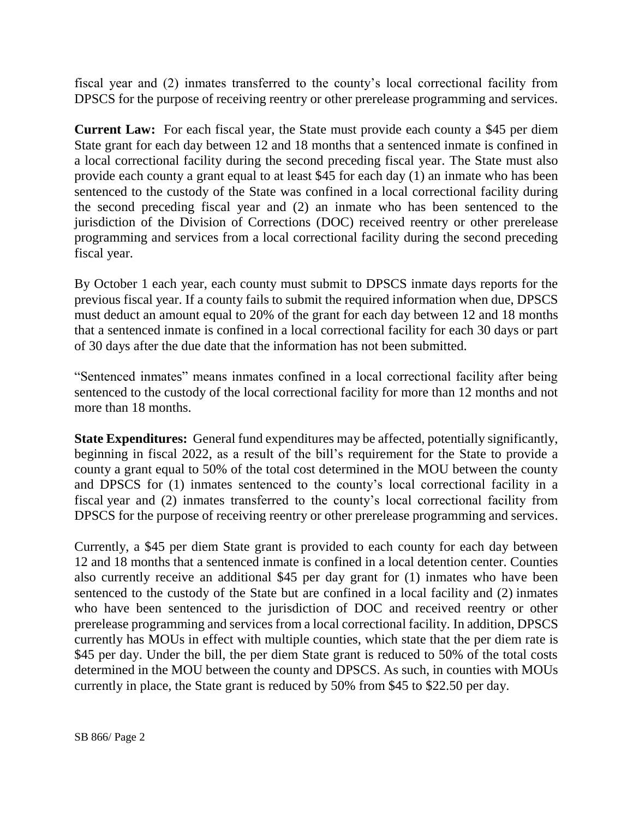fiscal year and (2) inmates transferred to the county's local correctional facility from DPSCS for the purpose of receiving reentry or other prerelease programming and services.

**Current Law:** For each fiscal year, the State must provide each county a \$45 per diem State grant for each day between 12 and 18 months that a sentenced inmate is confined in a local correctional facility during the second preceding fiscal year. The State must also provide each county a grant equal to at least \$45 for each day (1) an inmate who has been sentenced to the custody of the State was confined in a local correctional facility during the second preceding fiscal year and (2) an inmate who has been sentenced to the jurisdiction of the Division of Corrections (DOC) received reentry or other prerelease programming and services from a local correctional facility during the second preceding fiscal year.

By October 1 each year, each county must submit to DPSCS inmate days reports for the previous fiscal year. If a county fails to submit the required information when due, DPSCS must deduct an amount equal to 20% of the grant for each day between 12 and 18 months that a sentenced inmate is confined in a local correctional facility for each 30 days or part of 30 days after the due date that the information has not been submitted.

"Sentenced inmates" means inmates confined in a local correctional facility after being sentenced to the custody of the local correctional facility for more than 12 months and not more than 18 months.

**State Expenditures:** General fund expenditures may be affected, potentially significantly, beginning in fiscal 2022, as a result of the bill's requirement for the State to provide a county a grant equal to 50% of the total cost determined in the MOU between the county and DPSCS for (1) inmates sentenced to the county's local correctional facility in a fiscal year and (2) inmates transferred to the county's local correctional facility from DPSCS for the purpose of receiving reentry or other prerelease programming and services.

Currently, a \$45 per diem State grant is provided to each county for each day between 12 and 18 months that a sentenced inmate is confined in a local detention center. Counties also currently receive an additional \$45 per day grant for (1) inmates who have been sentenced to the custody of the State but are confined in a local facility and (2) inmates who have been sentenced to the jurisdiction of DOC and received reentry or other prerelease programming and services from a local correctional facility. In addition, DPSCS currently has MOUs in effect with multiple counties, which state that the per diem rate is \$45 per day. Under the bill, the per diem State grant is reduced to 50% of the total costs determined in the MOU between the county and DPSCS. As such, in counties with MOUs currently in place, the State grant is reduced by 50% from \$45 to \$22.50 per day.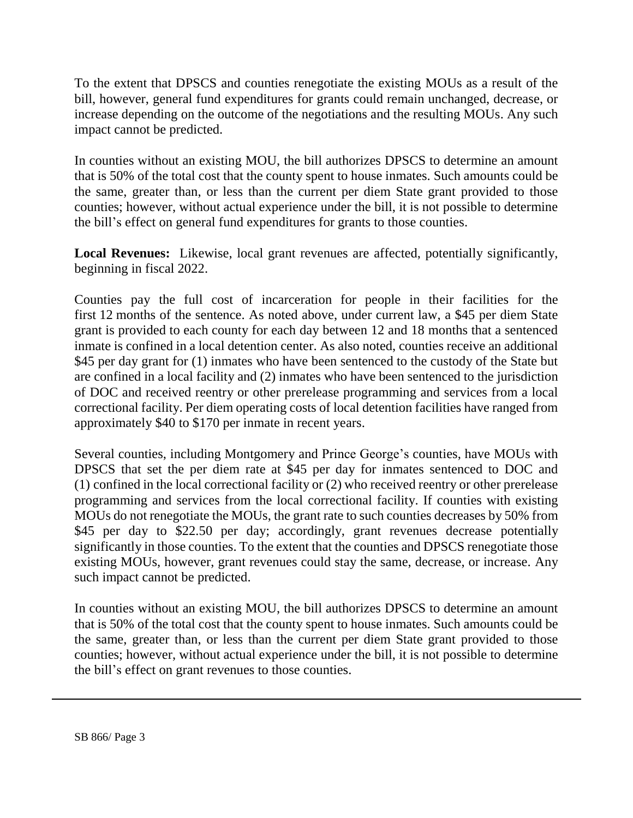To the extent that DPSCS and counties renegotiate the existing MOUs as a result of the bill, however, general fund expenditures for grants could remain unchanged, decrease, or increase depending on the outcome of the negotiations and the resulting MOUs. Any such impact cannot be predicted.

In counties without an existing MOU, the bill authorizes DPSCS to determine an amount that is 50% of the total cost that the county spent to house inmates. Such amounts could be the same, greater than, or less than the current per diem State grant provided to those counties; however, without actual experience under the bill, it is not possible to determine the bill's effect on general fund expenditures for grants to those counties.

**Local Revenues:** Likewise, local grant revenues are affected, potentially significantly, beginning in fiscal 2022.

Counties pay the full cost of incarceration for people in their facilities for the first 12 months of the sentence. As noted above, under current law, a \$45 per diem State grant is provided to each county for each day between 12 and 18 months that a sentenced inmate is confined in a local detention center. As also noted, counties receive an additional \$45 per day grant for (1) inmates who have been sentenced to the custody of the State but are confined in a local facility and (2) inmates who have been sentenced to the jurisdiction of DOC and received reentry or other prerelease programming and services from a local correctional facility. Per diem operating costs of local detention facilities have ranged from approximately \$40 to \$170 per inmate in recent years.

Several counties, including Montgomery and Prince George's counties, have MOUs with DPSCS that set the per diem rate at \$45 per day for inmates sentenced to DOC and (1) confined in the local correctional facility or (2) who received reentry or other prerelease programming and services from the local correctional facility. If counties with existing MOUs do not renegotiate the MOUs, the grant rate to such counties decreases by 50% from \$45 per day to \$22.50 per day; accordingly, grant revenues decrease potentially significantly in those counties. To the extent that the counties and DPSCS renegotiate those existing MOUs, however, grant revenues could stay the same, decrease, or increase. Any such impact cannot be predicted.

In counties without an existing MOU, the bill authorizes DPSCS to determine an amount that is 50% of the total cost that the county spent to house inmates. Such amounts could be the same, greater than, or less than the current per diem State grant provided to those counties; however, without actual experience under the bill, it is not possible to determine the bill's effect on grant revenues to those counties.